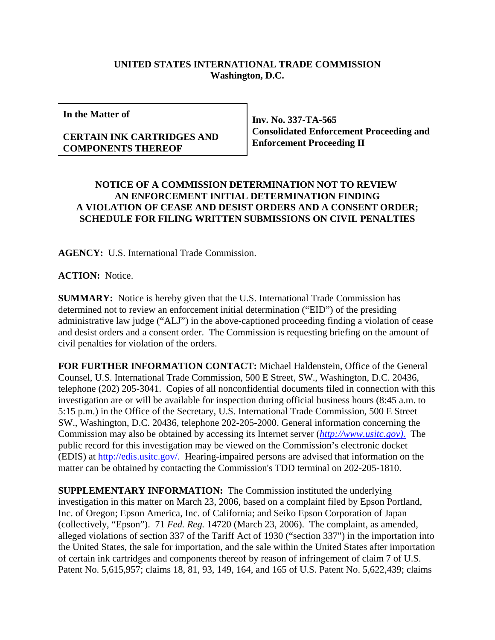## **UNITED STATES INTERNATIONAL TRADE COMMISSION Washington, D.C.**

**In the Matter of**

## **CERTAIN INK CARTRIDGES AND COMPONENTS THEREOF**

**Inv. No. 337-TA-565 Consolidated Enforcement Proceeding and Enforcement Proceeding II**

## **NOTICE OF A COMMISSION DETERMINATION NOT TO REVIEW AN ENFORCEMENT INITIAL DETERMINATION FINDING A VIOLATION OF CEASE AND DESIST ORDERS AND A CONSENT ORDER; SCHEDULE FOR FILING WRITTEN SUBMISSIONS ON CIVIL PENALTIES**

**AGENCY:** U.S. International Trade Commission.

**ACTION:** Notice.

**SUMMARY:** Notice is hereby given that the U.S. International Trade Commission has determined not to review an enforcement initial determination ("EID") of the presiding administrative law judge ("ALJ") in the above-captioned proceeding finding a violation of cease and desist orders and a consent order. The Commission is requesting briefing on the amount of civil penalties for violation of the orders.

**FOR FURTHER INFORMATION CONTACT:** Michael Haldenstein, Office of the General Counsel, U.S. International Trade Commission, 500 E Street, SW., Washington, D.C. 20436, telephone (202) 205-3041. Copies of all nonconfidential documents filed in connection with this investigation are or will be available for inspection during official business hours (8:45 a.m. to 5:15 p.m.) in the Office of the Secretary, U.S. International Trade Commission, 500 E Street SW., Washington, D.C. 20436, telephone 202-205-2000. General information concerning the Commission may also be obtained by accessing its Internet server (*http://www.usitc.gov).* The public record for this investigation may be viewed on the Commission's electronic docket (EDIS) at http://edis.usitc.gov/. Hearing-impaired persons are advised that information on the matter can be obtained by contacting the Commission's TDD terminal on 202-205-1810.

**SUPPLEMENTARY INFORMATION:** The Commission instituted the underlying investigation in this matter on March 23, 2006, based on a complaint filed by Epson Portland, Inc. of Oregon; Epson America, Inc. of California; and Seiko Epson Corporation of Japan (collectively, "Epson"). 71 *Fed. Reg.* 14720 (March 23, 2006). The complaint, as amended, alleged violations of section 337 of the Tariff Act of 1930 ("section 337") in the importation into the United States, the sale for importation, and the sale within the United States after importation of certain ink cartridges and components thereof by reason of infringement of claim 7 of U.S. Patent No. 5,615,957; claims 18, 81, 93, 149, 164, and 165 of U.S. Patent No. 5,622,439; claims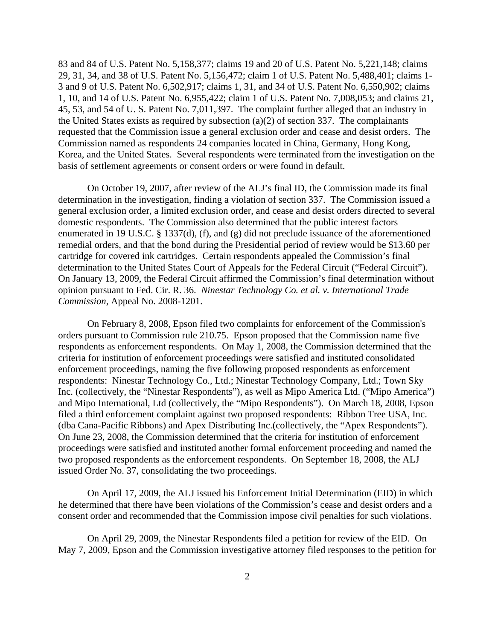83 and 84 of U.S. Patent No. 5,158,377; claims 19 and 20 of U.S. Patent No. 5,221,148; claims 29, 31, 34, and 38 of U.S. Patent No. 5,156,472; claim 1 of U.S. Patent No. 5,488,401; claims 1- 3 and 9 of U.S. Patent No. 6,502,917; claims 1, 31, and 34 of U.S. Patent No. 6,550,902; claims 1, 10, and 14 of U.S. Patent No. 6,955,422; claim 1 of U.S. Patent No. 7,008,053; and claims 21, 45, 53, and 54 of U. S. Patent No. 7,011,397. The complaint further alleged that an industry in the United States exists as required by subsection (a)(2) of section 337. The complainants requested that the Commission issue a general exclusion order and cease and desist orders. The Commission named as respondents 24 companies located in China, Germany, Hong Kong, Korea, and the United States. Several respondents were terminated from the investigation on the basis of settlement agreements or consent orders or were found in default.

On October 19, 2007, after review of the ALJ's final ID, the Commission made its final determination in the investigation, finding a violation of section 337. The Commission issued a general exclusion order, a limited exclusion order, and cease and desist orders directed to several domestic respondents. The Commission also determined that the public interest factors enumerated in 19 U.S.C. § 1337(d), (f), and (g) did not preclude issuance of the aforementioned remedial orders, and that the bond during the Presidential period of review would be \$13.60 per cartridge for covered ink cartridges. Certain respondents appealed the Commission's final determination to the United States Court of Appeals for the Federal Circuit ("Federal Circuit"). On January 13, 2009, the Federal Circuit affirmed the Commission's final determination without opinion pursuant to Fed. Cir. R. 36. *Ninestar Technology Co. et al. v. International Trade Commission*, Appeal No. 2008-1201.

On February 8, 2008, Epson filed two complaints for enforcement of the Commission's orders pursuant to Commission rule 210.75. Epson proposed that the Commission name five respondents as enforcement respondents. On May 1, 2008, the Commission determined that the criteria for institution of enforcement proceedings were satisfied and instituted consolidated enforcement proceedings, naming the five following proposed respondents as enforcement respondents: Ninestar Technology Co., Ltd.; Ninestar Technology Company, Ltd.; Town Sky Inc. (collectively, the "Ninestar Respondents"), as well as Mipo America Ltd. ("Mipo America") and Mipo International, Ltd (collectively, the "Mipo Respondents"). On March 18, 2008, Epson filed a third enforcement complaint against two proposed respondents: Ribbon Tree USA, Inc. (dba Cana-Pacific Ribbons) and Apex Distributing Inc.(collectively, the "Apex Respondents"). On June 23, 2008, the Commission determined that the criteria for institution of enforcement proceedings were satisfied and instituted another formal enforcement proceeding and named the two proposed respondents as the enforcement respondents. On September 18, 2008, the ALJ issued Order No. 37, consolidating the two proceedings.

On April 17, 2009, the ALJ issued his Enforcement Initial Determination (EID) in which he determined that there have been violations of the Commission's cease and desist orders and a consent order and recommended that the Commission impose civil penalties for such violations.

On April 29, 2009, the Ninestar Respondents filed a petition for review of the EID. On May 7, 2009, Epson and the Commission investigative attorney filed responses to the petition for